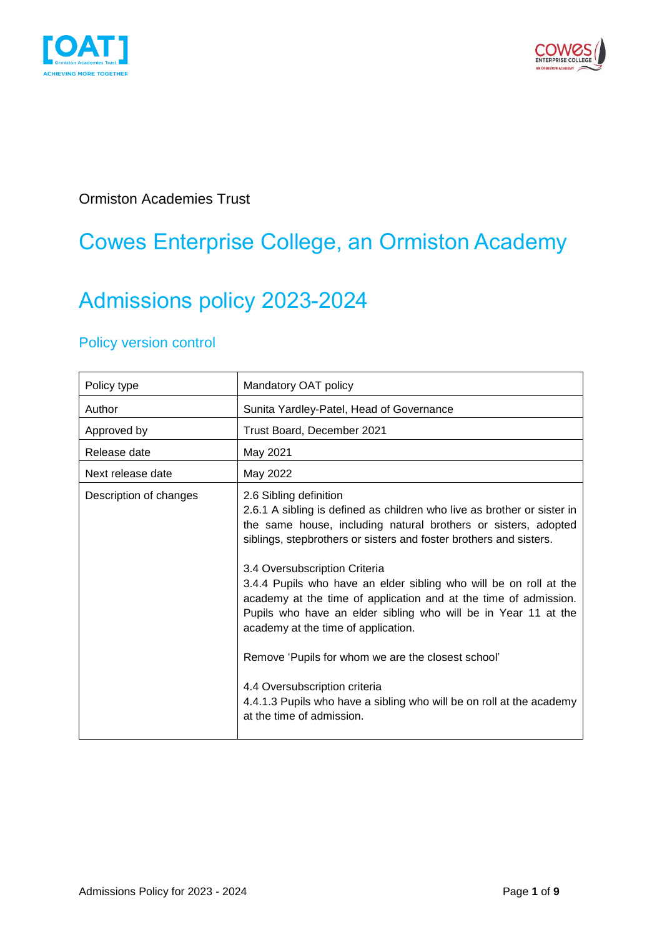



Ormiston Academies Trust

## Cowes Enterprise College, an Ormiston Academy

# Admissions policy 2023-2024

### Policy version control

| Policy type            | Mandatory OAT policy                                                                                                                                                                                                                                                                                                                                                                                                                                                                                                                                                                                                                                                                                                     |
|------------------------|--------------------------------------------------------------------------------------------------------------------------------------------------------------------------------------------------------------------------------------------------------------------------------------------------------------------------------------------------------------------------------------------------------------------------------------------------------------------------------------------------------------------------------------------------------------------------------------------------------------------------------------------------------------------------------------------------------------------------|
| Author                 | Sunita Yardley-Patel, Head of Governance                                                                                                                                                                                                                                                                                                                                                                                                                                                                                                                                                                                                                                                                                 |
| Approved by            | Trust Board, December 2021                                                                                                                                                                                                                                                                                                                                                                                                                                                                                                                                                                                                                                                                                               |
| Release date           | May 2021                                                                                                                                                                                                                                                                                                                                                                                                                                                                                                                                                                                                                                                                                                                 |
| Next release date      | May 2022                                                                                                                                                                                                                                                                                                                                                                                                                                                                                                                                                                                                                                                                                                                 |
| Description of changes | 2.6 Sibling definition<br>2.6.1 A sibling is defined as children who live as brother or sister in<br>the same house, including natural brothers or sisters, adopted<br>siblings, stepbrothers or sisters and foster brothers and sisters.<br>3.4 Oversubscription Criteria<br>3.4.4 Pupils who have an elder sibling who will be on roll at the<br>academy at the time of application and at the time of admission.<br>Pupils who have an elder sibling who will be in Year 11 at the<br>academy at the time of application.<br>Remove 'Pupils for whom we are the closest school'<br>4.4 Oversubscription criteria<br>4.4.1.3 Pupils who have a sibling who will be on roll at the academy<br>at the time of admission. |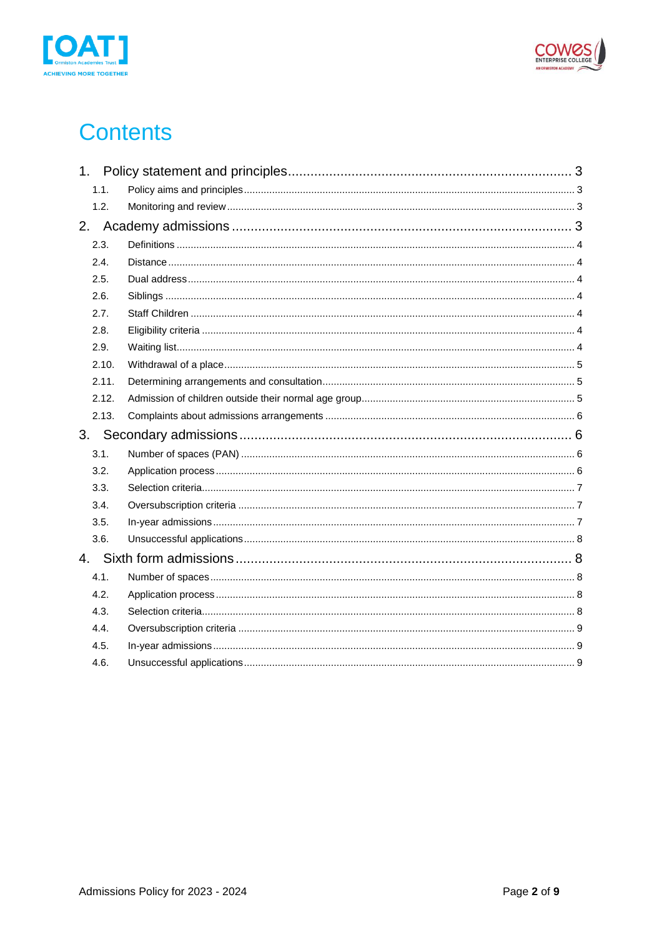



## **Contents**

| 1.1.  |  |
|-------|--|
| 1.2.  |  |
|       |  |
| 2.3.  |  |
| 2.4.  |  |
| 2.5.  |  |
| 2.6.  |  |
| 2.7.  |  |
| 2.8.  |  |
| 2.9.  |  |
| 2.10. |  |
| 2.11. |  |
| 2.12. |  |
| 2.13. |  |
|       |  |
| 3.1.  |  |
| 3.2.  |  |
|       |  |
| 3.3.  |  |
| 3.4.  |  |
| 3.5.  |  |
| 3.6.  |  |
|       |  |
| 4.1.  |  |
| 4.2.  |  |
| 4.3.  |  |
| 4.4.  |  |
| 4.5.  |  |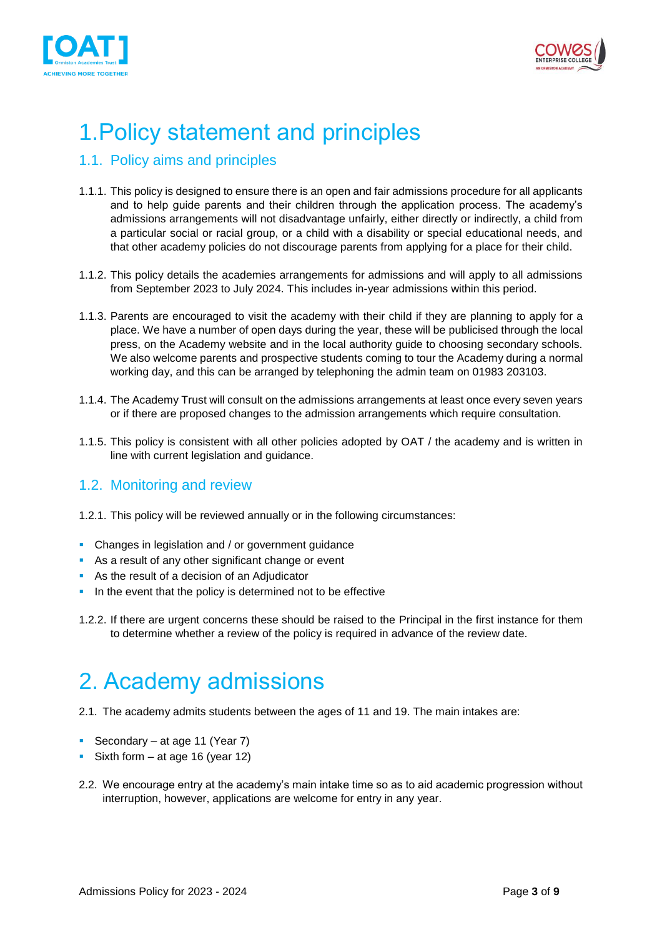



# <span id="page-2-0"></span>1.Policy statement and principles

### <span id="page-2-1"></span>1.1. Policy aims and principles

- 1.1.1. This policy is designed to ensure there is an open and fair admissions procedure for all applicants and to help guide parents and their children through the application process. The academy's admissions arrangements will not disadvantage unfairly, either directly or indirectly, a child from a particular social or racial group, or a child with a disability or special educational needs, and that other academy policies do not discourage parents from applying for a place for their child.
- 1.1.2. This policy details the academies arrangements for admissions and will apply to all admissions from September 2023 to July 2024. This includes in-year admissions within this period.
- 1.1.3. Parents are encouraged to visit the academy with their child if they are planning to apply for a place. We have a number of open days during the year, these will be publicised through the local press, on the Academy website and in the local authority guide to choosing secondary schools. We also welcome parents and prospective students coming to tour the Academy during a normal working day, and this can be arranged by telephoning the admin team on 01983 203103.
- 1.1.4. The Academy Trust will consult on the admissions arrangements at least once every seven years or if there are proposed changes to the admission arrangements which require consultation.
- 1.1.5. This policy is consistent with all other policies adopted by OAT / the academy and is written in line with current legislation and guidance.

#### <span id="page-2-2"></span>1.2. Monitoring and review

- 1.2.1. This policy will be reviewed annually or in the following circumstances:
- **Changes in legislation and / or government guidance**
- As a result of any other significant change or event
- As the result of a decision of an Adjudicator
- **.** In the event that the policy is determined not to be effective
- 1.2.2. If there are urgent concerns these should be raised to the Principal in the first instance for them to determine whether a review of the policy is required in advance of the review date.

## <span id="page-2-3"></span>2. Academy admissions

- 2.1. The academy admits students between the ages of 11 and 19. The main intakes are:
- Secondary at age 11 (Year 7)
- **•** Sixth form  $-$  at age 16 (year 12)
- 2.2. We encourage entry at the academy's main intake time so as to aid academic progression without interruption, however, applications are welcome for entry in any year.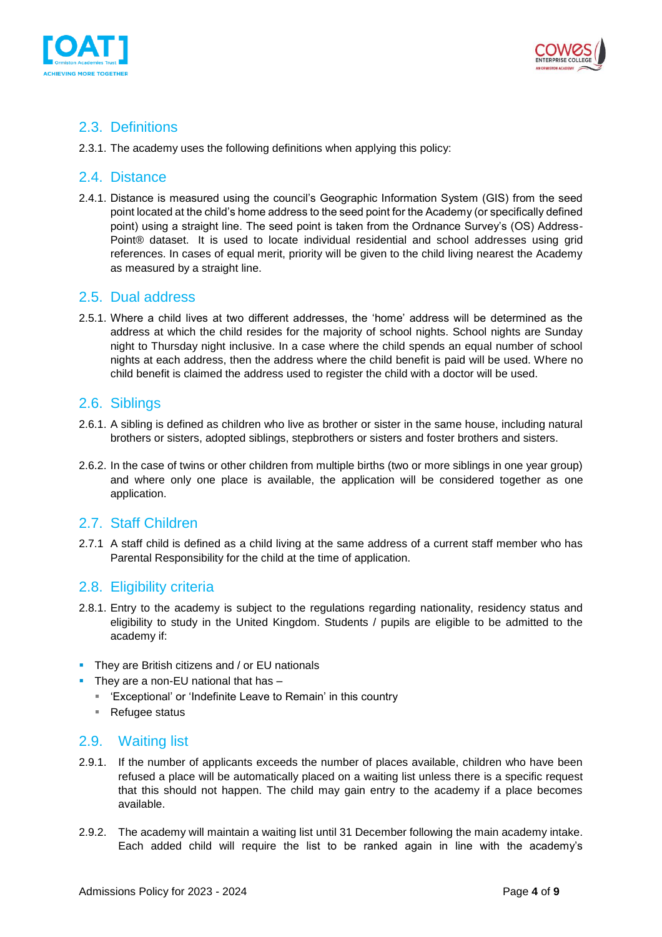



### <span id="page-3-0"></span>2.3. Definitions

2.3.1. The academy uses the following definitions when applying this policy:

#### <span id="page-3-1"></span>2.4. Distance

2.4.1. Distance is measured using the council's Geographic Information System (GIS) from the seed point located at the child's home address to the seed point for the Academy (or specifically defined point) using a straight line. The seed point is taken from the Ordnance Survey's (OS) Address-Point® dataset. It is used to locate individual residential and school addresses using grid references. In cases of equal merit, priority will be given to the child living nearest the Academy as measured by a straight line.

#### <span id="page-3-2"></span>2.5. Dual address

2.5.1. Where a child lives at two different addresses, the 'home' address will be determined as the address at which the child resides for the majority of school nights. School nights are Sunday night to Thursday night inclusive. In a case where the child spends an equal number of school nights at each address, then the address where the child benefit is paid will be used. Where no child benefit is claimed the address used to register the child with a doctor will be used.

#### <span id="page-3-3"></span>2.6. Siblings

- 2.6.1. A sibling is defined as children who live as brother or sister in the same house, including natural brothers or sisters, adopted siblings, stepbrothers or sisters and foster brothers and sisters.
- 2.6.2. In the case of twins or other children from multiple births (two or more siblings in one year group) and where only one place is available, the application will be considered together as one application.

#### <span id="page-3-4"></span>2.7. Staff Children

2.7.1 A staff child is defined as a child living at the same address of a current staff member who has Parental Responsibility for the child at the time of application.

#### <span id="page-3-5"></span>2.8. Eligibility criteria

- 2.8.1. Entry to the academy is subject to the regulations regarding nationality, residency status and eligibility to study in the United Kingdom. Students / pupils are eligible to be admitted to the academy if:
- **E** They are British citizens and / or EU nationals
- They are a non-EU national that has  $-$ 
	- 'Exceptional' or 'Indefinite Leave to Remain' in this country
	- Refugee status

#### <span id="page-3-6"></span>2.9. Waiting list

- 2.9.1. If the number of applicants exceeds the number of places available, children who have been refused a place will be automatically placed on a waiting list unless there is a specific request that this should not happen. The child may gain entry to the academy if a place becomes available.
- 2.9.2. The academy will maintain a waiting list until 31 December following the main academy intake. Each added child will require the list to be ranked again in line with the academy's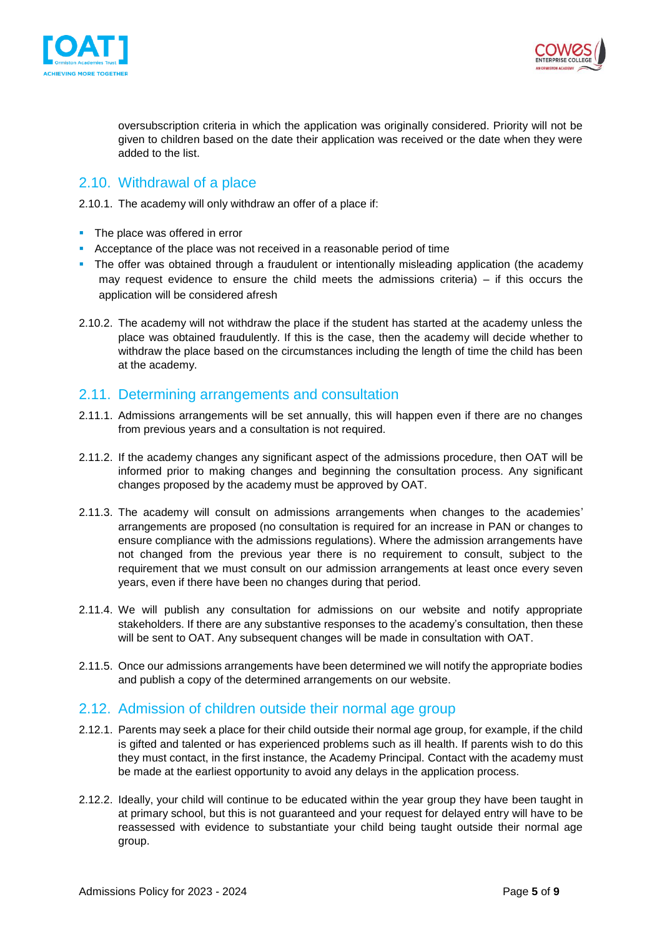



oversubscription criteria in which the application was originally considered. Priority will not be given to children based on the date their application was received or the date when they were added to the list.

#### <span id="page-4-0"></span>2.10. Withdrawal of a place

2.10.1. The academy will only withdraw an offer of a place if:

- The place was offered in error
- Acceptance of the place was not received in a reasonable period of time
- The offer was obtained through a fraudulent or intentionally misleading application (the academy may request evidence to ensure the child meets the admissions criteria) – if this occurs the application will be considered afresh
- 2.10.2. The academy will not withdraw the place if the student has started at the academy unless the place was obtained fraudulently. If this is the case, then the academy will decide whether to withdraw the place based on the circumstances including the length of time the child has been at the academy.

#### <span id="page-4-1"></span>2.11. Determining arrangements and consultation

- 2.11.1. Admissions arrangements will be set annually, this will happen even if there are no changes from previous years and a consultation is not required.
- 2.11.2. If the academy changes any significant aspect of the admissions procedure, then OAT will be informed prior to making changes and beginning the consultation process. Any significant changes proposed by the academy must be approved by OAT.
- 2.11.3. The academy will consult on admissions arrangements when changes to the academies' arrangements are proposed (no consultation is required for an increase in PAN or changes to ensure compliance with the admissions regulations). Where the admission arrangements have not changed from the previous year there is no requirement to consult, subject to the requirement that we must consult on our admission arrangements at least once every seven years, even if there have been no changes during that period.
- 2.11.4. We will publish any consultation for admissions on our website and notify appropriate stakeholders. If there are any substantive responses to the academy's consultation, then these will be sent to OAT. Any subsequent changes will be made in consultation with OAT.
- 2.11.5. Once our admissions arrangements have been determined we will notify the appropriate bodies and publish a copy of the determined arrangements on our website.

#### <span id="page-4-2"></span>2.12. Admission of children outside their normal age group

- 2.12.1. Parents may seek a place for their child outside their normal age group, for example, if the child is gifted and talented or has experienced problems such as ill health. If parents wish to do this they must contact, in the first instance, the Academy Principal. Contact with the academy must be made at the earliest opportunity to avoid any delays in the application process.
- 2.12.2. Ideally, your child will continue to be educated within the year group they have been taught in at primary school, but this is not guaranteed and your request for delayed entry will have to be reassessed with evidence to substantiate your child being taught outside their normal age group.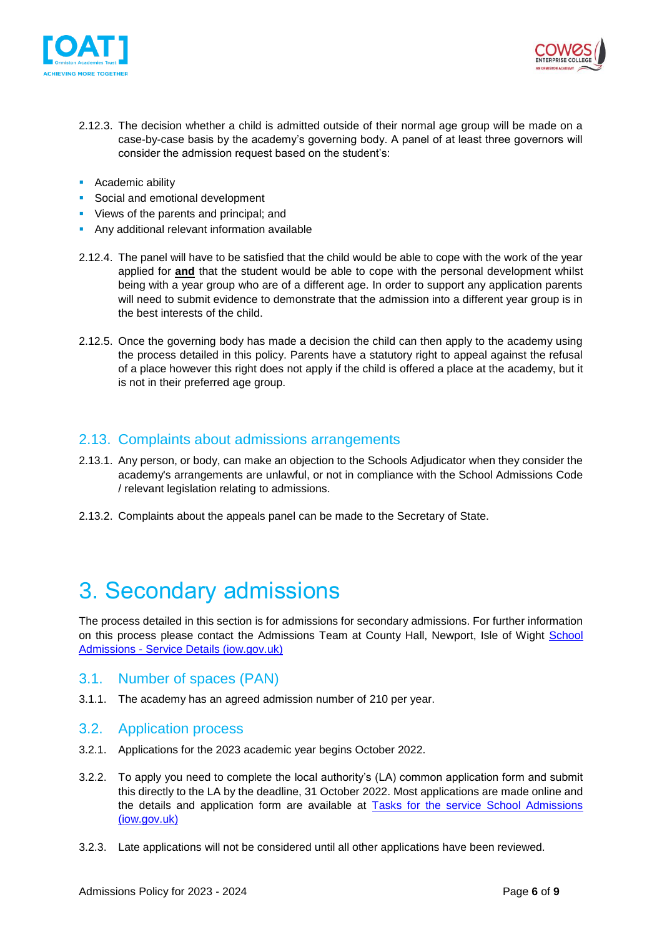



- 2.12.3. The decision whether a child is admitted outside of their normal age group will be made on a case-by-case basis by the academy's governing body. A panel of at least three governors will consider the admission request based on the student's:
- Academic ability
- Social and emotional development
- Views of the parents and principal; and
- **Any additional relevant information available**
- 2.12.4. The panel will have to be satisfied that the child would be able to cope with the work of the year applied for **and** that the student would be able to cope with the personal development whilst being with a year group who are of a different age. In order to support any application parents will need to submit evidence to demonstrate that the admission into a different year group is in the best interests of the child.
- 2.12.5. Once the governing body has made a decision the child can then apply to the academy using the process detailed in this policy. Parents have a statutory right to appeal against the refusal of a place however this right does not apply if the child is offered a place at the academy, but it is not in their preferred age group.

#### <span id="page-5-0"></span>2.13. Complaints about admissions arrangements

- 2.13.1. Any person, or body, can make an objection to the Schools Adjudicator when they consider the academy's arrangements are unlawful, or not in compliance with the School Admissions Code / relevant legislation relating to admissions.
- 2.13.2. Complaints about the appeals panel can be made to the Secretary of State.

## <span id="page-5-1"></span>3. Secondary admissions

The process detailed in this section is for admissions for secondary admissions. For further information on this process please contact the Admissions Team at County Hall, Newport, Isle of Wight School Admissions - [Service Details \(iow.gov.uk\)](https://www.iow.gov.uk/Residents/Schools-and-Learning/School-Admissions/Secondary-School-Sept-2019)

#### <span id="page-5-2"></span>3.1. Number of spaces (PAN)

3.1.1. The academy has an agreed admission number of 210 per year.

#### <span id="page-5-3"></span>3.2. Application process

- 3.2.1. Applications for the 2023 academic year begins October 2022.
- 3.2.2. To apply you need to complete the local authority's (LA) common application form and submit this directly to the LA by the deadline, 31 October 2022. Most applications are made online and the details and application form are available at [Tasks for the service School Admissions](https://www.iow.gov.uk/Residents/Schools-and-Learning/School-Admissions/Tasks)  [\(iow.gov.uk\)](https://www.iow.gov.uk/Residents/Schools-and-Learning/School-Admissions/Tasks)
- 3.2.3. Late applications will not be considered until all other applications have been reviewed.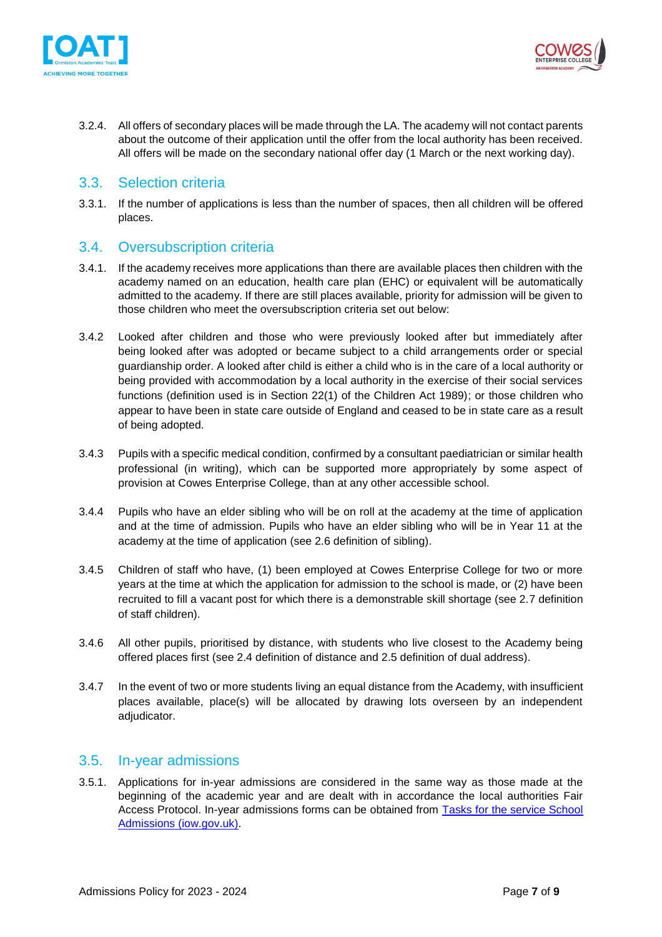



3.2.4. All offers of secondary places will be made through the LA. The academy will not contact parents about the outcome of their application until the offer from the local authority has been received. All offers will be made on the secondary national offer day (1 March or the next working day).

#### <span id="page-6-0"></span>3.3. Selection criteria

3.3.1. If the number of applications is less than the number of spaces, then all children will be offered places.

#### <span id="page-6-1"></span>3.4. Oversubscription criteria

- 3.4.1. If the academy receives more applications than there are available places then children with the academy named on an education, health care plan (EHC) or equivalent will be automatically admitted to the academy. If there are still places available, priority for admission will be given to those children who meet the oversubscription criteria set out below:
- 3.4.2 Looked after children and those who were previously looked after but immediately after being looked after was adopted or became subject to a child arrangements order or special guardianship order. A looked after child is either a child who is in the care of a local authority or being provided with accommodation by a local authority in the exercise of their social services functions (definition used is in Section 22(1) of the Children Act 1989); or those children who appear to have been in state care outside of England and ceased to be in state care as a result of being adopted.
- 3.4.3 Pupils with a specific medical condition, confirmed by a consultant paediatrician or similar health professional (in writing), which can be supported more appropriately by some aspect of provision at Cowes Enterprise College, than at any other accessible school.
- 3.4.4 Pupils who have an elder sibling who will be on roll at the academy at the time of application and at the time of admission. Pupils who have an elder sibling who will be in Year 11 at the academy at the time of application (see 2.6 definition of sibling).
- 3.4.5 Children of staff who have, (1) been employed at Cowes Enterprise College for two or more years at the time at which the application for admission to the school is made, or (2) have been recruited to fill a vacant post for which there is a demonstrable skill shortage (see 2.7 definition of staff children).
- 3.4.6 All other pupils, prioritised by distance, with students who live closest to the Academy being offered places first (see 2.4 definition of distance and 2.5 definition of dual address).
- 3.4.7 In the event of two or more students living an equal distance from the Academy, with insufficient places available, place(s) will be allocated by drawing lots overseen by an independent adjudicator.

#### <span id="page-6-2"></span>3.5. In-year admissions

3.5.1. Applications for in-year admissions are considered in the same way as those made at the beginning of the academic year and are dealt with in accordance the local authorities Fair Access Protocol. In-year admissions forms can be obtained from [Tasks for the service School](https://www.iow.gov.uk/Residents/Schools-and-Learning/School-Admissions/Tasks)  [Admissions \(iow.gov.uk\).](https://www.iow.gov.uk/Residents/Schools-and-Learning/School-Admissions/Tasks)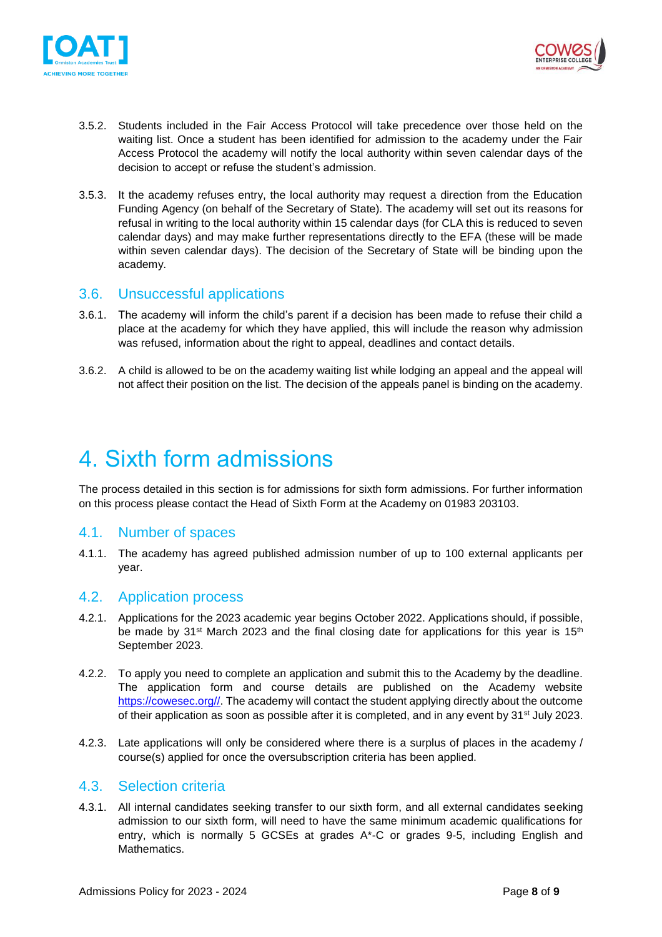



- 3.5.2. Students included in the Fair Access Protocol will take precedence over those held on the waiting list. Once a student has been identified for admission to the academy under the Fair Access Protocol the academy will notify the local authority within seven calendar days of the decision to accept or refuse the student's admission.
- 3.5.3. It the academy refuses entry, the local authority may request a direction from the Education Funding Agency (on behalf of the Secretary of State). The academy will set out its reasons for refusal in writing to the local authority within 15 calendar days (for CLA this is reduced to seven calendar days) and may make further representations directly to the EFA (these will be made within seven calendar days). The decision of the Secretary of State will be binding upon the academy.

#### <span id="page-7-0"></span>3.6. Unsuccessful applications

- 3.6.1. The academy will inform the child's parent if a decision has been made to refuse their child a place at the academy for which they have applied, this will include the reason why admission was refused, information about the right to appeal, deadlines and contact details.
- 3.6.2. A child is allowed to be on the academy waiting list while lodging an appeal and the appeal will not affect their position on the list. The decision of the appeals panel is binding on the academy.

### <span id="page-7-1"></span>4. Sixth form admissions

The process detailed in this section is for admissions for sixth form admissions. For further information on this process please contact the Head of Sixth Form at the Academy on 01983 203103.

#### <span id="page-7-2"></span>4.1. Number of spaces

4.1.1. The academy has agreed published admission number of up to 100 external applicants per year.

#### <span id="page-7-3"></span>4.2. Application process

- 4.2.1. Applications for the 2023 academic year begins October 2022. Applications should, if possible, be made by 31<sup>st</sup> March 2023 and the final closing date for applications for this year is 15<sup>th</sup> September 2023.
- 4.2.2. To apply you need to complete an application and submit this to the Academy by the deadline. The application form and course details are published on the Academy website [https://cowesec.org//.](https://cowesec.org/) The academy will contact the student applying directly about the outcome of their application as soon as possible after it is completed, and in any event by 31st July 2023.
- 4.2.3. Late applications will only be considered where there is a surplus of places in the academy / course(s) applied for once the oversubscription criteria has been applied.

#### <span id="page-7-4"></span>4.3. Selection criteria

4.3.1. All internal candidates seeking transfer to our sixth form, and all external candidates seeking admission to our sixth form, will need to have the same minimum academic qualifications for entry, which is normally 5 GCSEs at grades A\*-C or grades 9-5, including English and Mathematics.